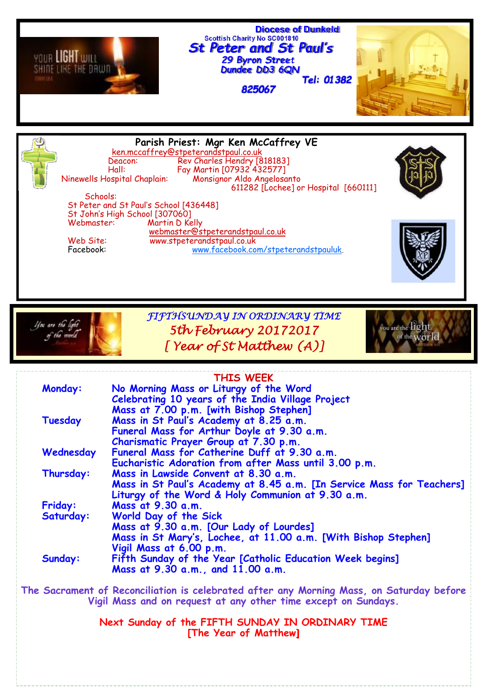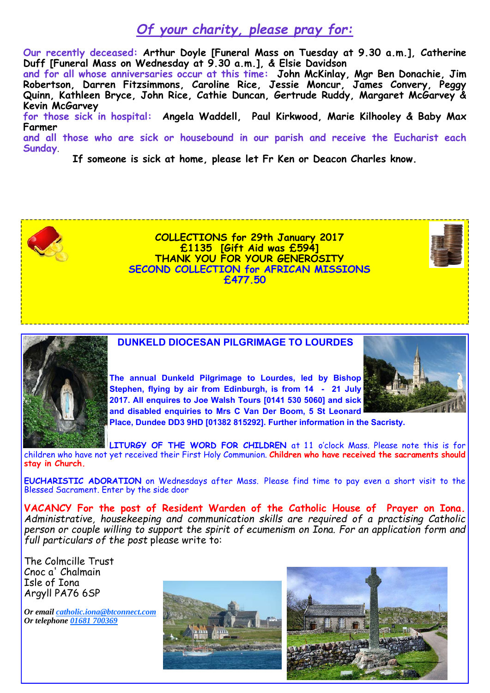### *Of your charity, please pray for:*

**Our recently deceased: Arthur Doyle [Funeral Mass on Tuesday at 9.30 a.m.], Catherine Duff [Funeral Mass on Wednesday at 9.30 a.m.], & Elsie Davidson**

**and for all whose anniversaries occur at this time: John McKinlay, Mgr Ben Donachie, Jim Robertson, Darren Fitzsimmons, Caroline Rice, Jessie Moncur, James Convery, Peggy Quinn, Kathleen Bryce, John Rice, Cathie Duncan, Gertrude Ruddy, Margaret McGarvey & Kevin McGarvey** 

**for those sick in hospital: Angela Waddell, Paul Kirkwood, Marie Kilhooley & Baby Max Farmer** 

**and all those who are sick or housebound in our parish and receive the Eucharist each Sunday**.

**If someone is sick at home, please let Fr Ken or Deacon Charles know.** 



**COLLECTIONS for 29th January 2017 £1135 [Gift Aid was £594] THANK YOU FOR YOUR GENEROSITY SECOND COLLECTION for AFRICAN MISSIONS £477.50** 



**DUNKELD DIOCESAN PILGRIMAGE TO LOURDES** 

**The annual Dunkeld Pilgrimage to Lourdes, led by Bishop Stephen, flying by air from Edinburgh, is from 14 - 21 July 2017. All enquires to Joe Walsh Tours [0141 530 5060] and sick and disabled enquiries to Mrs C Van Der Boom, 5 St Leonard** 



**Place, Dundee DD3 9HD [01382 815292]. Further information in the Sacristy.** 

LITURGY OF THE WORD FOR CHILDREN at 11 o'clock Mass. Please note this is for children who have not yet received their First Holy Communion. **Children who have received the sacraments should stay in Church.**

**EUCHARISTIC ADORATION** on Wednesdays after Mass. Please find time to pay even a short visit to the Blessed Sacrament. Enter by the side door

**VACANCY For the post of Resident Warden of the Catholic House of Prayer on Iona.** *Administrative, housekeeping and communication skills are required of a practising Catholic person or couple willing to support the spirit of ecumenism on Iona. For an application form and full particulars of the post* please write to:

The Colmcille Trust Cnoc a' Chalmain Isle of Iona Argyll PA76 6SP

*Or email catholic.iona@btconnect.com Or telephone 01681 700369*

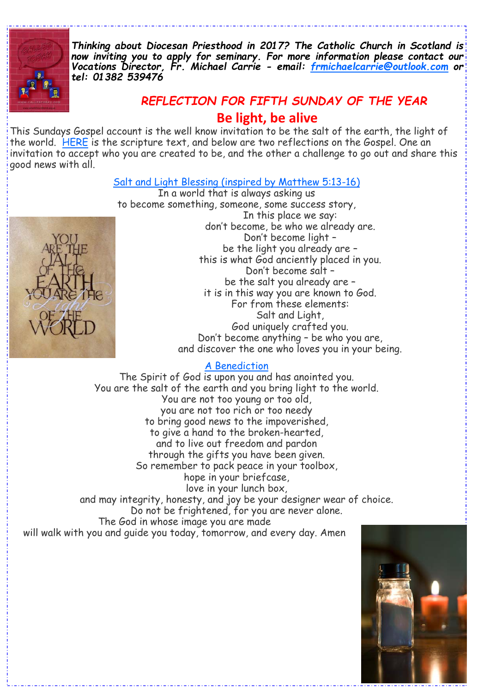

*Thinking about Diocesan Priesthood in 2017? The Catholic Church in Scotland is now inviting you to apply for seminary. For more information please contact our Vocations Director, Fr. Michael Carrie - email: frmichaelcarrie@outlook.com or tel: 01382 539476* 

# *REFLECTION FOR FIFTH SUNDAY OF THE YEAR*

**Be light, be alive** 

This Sundays Gospel account is the well know invitation to be the salt of the earth, the light of the world. HERE is the scripture text, and below are two reflections on the Gospel. One an invitation to accept who you are created to be, and the other a challenge to go out and share this good news with all.

#### Salt and Light Blessing (inspired by Matthew 5:13-16)



In a world that is always asking us to become something, someone, some success story, In this place we say: don't become, be who we already are. Don't become light – be the light you already are – this is what God anciently placed in you. Don't become salt – be the salt you already are – it is in this way you are known to God. For from these elements: Salt and Light, God uniquely crafted you. Don't become anything – be who you are, and discover the one who loves you in your being.

#### A Benediction

The Spirit of God is upon you and has anointed you. You are the salt of the earth and you bring light to the world. You are not too young or too old, you are not too rich or too needy to bring good news to the impoverished, to give a hand to the broken-hearted, and to live out freedom and pardon through the gifts you have been given. So remember to pack peace in your toolbox, hope in your briefcase, love in your lunch box, and may integrity, honesty, and joy be your designer wear of choice. Do not be frightened, for you are never alone. The God in whose image you are made will walk with you and guide you today, tomorrow, and every day. Amen